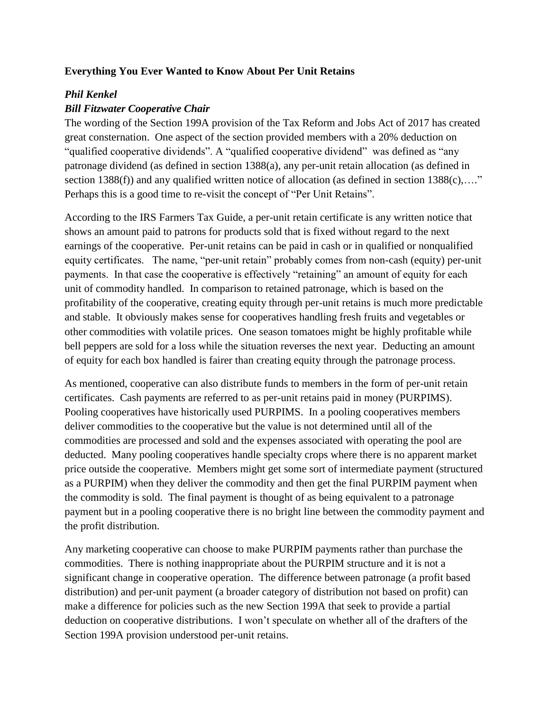## **Everything You Ever Wanted to Know About Per Unit Retains**

## *Phil Kenkel*

## *Bill Fitzwater Cooperative Chair*

The wording of the Section 199A provision of the Tax Reform and Jobs Act of 2017 has created great consternation. One aspect of the section provided members with a 20% deduction on "qualified cooperative dividends". A "qualified cooperative dividend" was defined as "any patronage dividend (as defined in section 1388(a), any per-unit retain allocation (as defined in section 1388(f)) and any qualified written notice of allocation (as defined in section  $1388(c)$ ,...." Perhaps this is a good time to re-visit the concept of "Per Unit Retains".

According to the IRS Farmers Tax Guide, a per-unit retain certificate is any written notice that shows an amount paid to patrons for products sold that is fixed without regard to the next earnings of the cooperative. Per-unit retains can be paid in cash or in qualified or nonqualified equity certificates. The name, "per-unit retain" probably comes from non-cash (equity) per-unit payments. In that case the cooperative is effectively "retaining" an amount of equity for each unit of commodity handled. In comparison to retained patronage, which is based on the profitability of the cooperative, creating equity through per-unit retains is much more predictable and stable. It obviously makes sense for cooperatives handling fresh fruits and vegetables or other commodities with volatile prices. One season tomatoes might be highly profitable while bell peppers are sold for a loss while the situation reverses the next year. Deducting an amount of equity for each box handled is fairer than creating equity through the patronage process.

As mentioned, cooperative can also distribute funds to members in the form of per-unit retain certificates. Cash payments are referred to as per-unit retains paid in money (PURPIMS). Pooling cooperatives have historically used PURPIMS. In a pooling cooperatives members deliver commodities to the cooperative but the value is not determined until all of the commodities are processed and sold and the expenses associated with operating the pool are deducted. Many pooling cooperatives handle specialty crops where there is no apparent market price outside the cooperative. Members might get some sort of intermediate payment (structured as a PURPIM) when they deliver the commodity and then get the final PURPIM payment when the commodity is sold. The final payment is thought of as being equivalent to a patronage payment but in a pooling cooperative there is no bright line between the commodity payment and the profit distribution.

Any marketing cooperative can choose to make PURPIM payments rather than purchase the commodities. There is nothing inappropriate about the PURPIM structure and it is not a significant change in cooperative operation. The difference between patronage (a profit based distribution) and per-unit payment (a broader category of distribution not based on profit) can make a difference for policies such as the new Section 199A that seek to provide a partial deduction on cooperative distributions. I won't speculate on whether all of the drafters of the Section 199A provision understood per-unit retains.